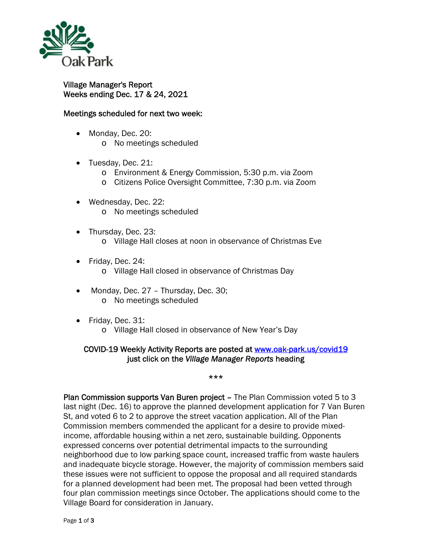

## Village Manager's Report Weeks ending Dec. 17 & 24, 2021

## Meetings scheduled for next two week:

- Monday, Dec. 20: o No meetings scheduled
- Tuesday, Dec. 21:
	- o Environment & Energy Commission, 5:30 p.m. via Zoom
	- o Citizens Police Oversight Committee, 7:30 p.m. via Zoom
- Wednesday, Dec. 22: o No meetings scheduled
- Thursday, Dec. 23: o Village Hall closes at noon in observance of Christmas Eve
- Friday, Dec. 24:
	- o Village Hall closed in observance of Christmas Day
- Monday, Dec. 27 Thursday, Dec. 30; o No meetings scheduled
- Friday, Dec. 31:
	- o Village Hall closed in observance of New Year's Day

## COVID-19 Weekly Activity Reports are posted at www.oak-park.us/covid19 just click on the *Village Manager Reports* heading

## \*\*\*

Plan Commission supports Van Buren project – The Plan Commission voted 5 to 3 last night (Dec. 16) to approve the planned development application for 7 Van Buren St, and voted 6 to 2 to approve the street vacation application. All of the Plan Commission members commended the applicant for a desire to provide mixedincome, affordable housing within a net zero, sustainable building. Opponents expressed concerns over potential detrimental impacts to the surrounding neighborhood due to low parking space count, increased traffic from waste haulers and inadequate bicycle storage. However, the majority of commission members said these issues were not sufficient to oppose the proposal and all required standards for a planned development had been met. The proposal had been vetted through four plan commission meetings since October. The applications should come to the Village Board for consideration in January.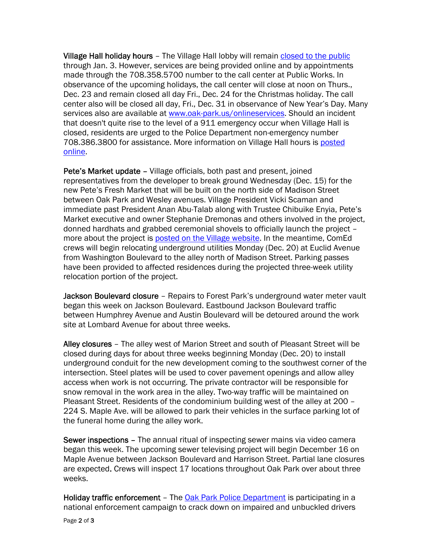Village Hall holiday hours – The Village Hall lobby will remain closed to the public through Jan. 3. However, services are being provided online and by appointments made through the 708.358.5700 number to the call center at Public Works. In observance of the upcoming holidays, the call center will close at noon on Thurs., Dec. 23 and remain closed all day Fri., Dec. 24 for the Christmas holiday. The call center also will be closed all day, Fri., Dec. 31 in observance of New Year's Day. Many services also are available at www.oak-park.us/onlineservices. Should an incident that doesn't quite rise to the level of a 911 emergency occur when Village Hall is closed, residents are urged to the Police Department non-emergency number 708.386.3800 for assistance. More information on Village Hall hours is posted online.

Pete's Market update – Village officials, both past and present, joined representatives from the developer to break ground Wednesday (Dec. 15) for the new Pete's Fresh Market that will be built on the north side of Madison Street between Oak Park and Wesley avenues. Village President Vicki Scaman and immediate past President Anan Abu-Talab along with Trustee Chibuike Enyia, Pete's Market executive and owner Stephanie Dremonas and others involved in the project, donned hardhats and grabbed ceremonial shovels to officially launch the project – more about the project is posted on the Village website. In the meantime, ComEd crews will begin relocating underground utilities Monday (Dec. 20) at Euclid Avenue from Washington Boulevard to the alley north of Madison Street. Parking passes have been provided to affected residences during the projected three-week utility relocation portion of the project.

Jackson Boulevard closure - Repairs to Forest Park's underground water meter vault began this week on Jackson Boulevard. Eastbound Jackson Boulevard traffic between Humphrey Avenue and Austin Boulevard will be detoured around the work site at Lombard Avenue for about three weeks.

Alley closures – The alley west of Marion Street and south of Pleasant Street will be closed during days for about three weeks beginning Monday (Dec. 20) to install underground conduit for the new development coming to the southwest corner of the intersection. Steel plates will be used to cover pavement openings and allow alley access when work is not occurring. The private contractor will be responsible for snow removal in the work area in the alley. Two-way traffic will be maintained on Pleasant Street. Residents of the condominium building west of the alley at 200 – 224 S. Maple Ave. will be allowed to park their vehicles in the surface parking lot of the funeral home during the alley work.

Sewer inspections – The annual ritual of inspecting sewer mains via video camera began this week. The upcoming sewer televising project will begin December 16 on Maple Avenue between Jackson Boulevard and Harrison Street. Partial lane closures are expected. Crews will inspect 17 locations throughout Oak Park over about three weeks.

Holiday traffic enforcement – The Oak Park Police Department is participating in a national enforcement campaign to crack down on impaired and unbuckled drivers